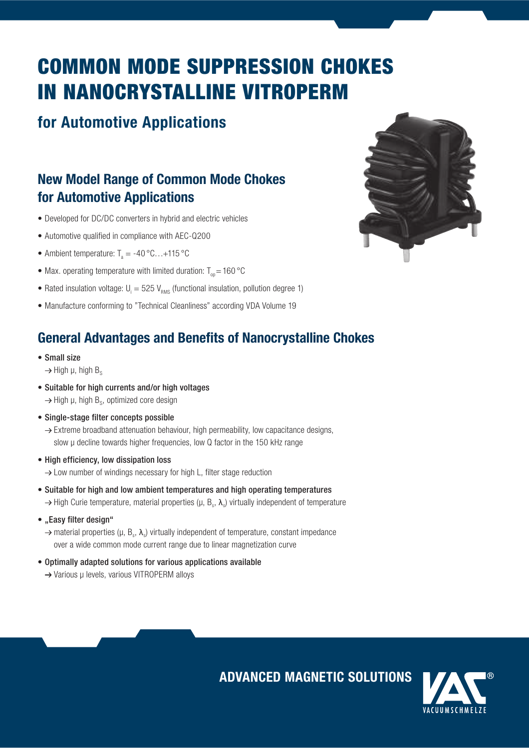# COMMON MODE SUPPRESSION CHOKES IN NANOCRYSTALLINE VITROPERM

for Automotive Applications

# New Model Range of Common Mode Chokes for Automotive Applications

- Developed for DC/DC converters in hybrid and electric vehicles
- Automotive qualified in compliance with AEC-Q200
- Ambient temperature:  $T_a = -40 \degree C... +115 \degree C$
- Max. operating temperature with limited duration:  $T_{on} = 160 \degree C$
- Rated insulation voltage:  $U_i = 525 V_{RMS}$  (functional insulation, pollution degree 1)
- Manufacture conforming to "Technical Cleanliness" according VDA Volume 19

### General Advantages and Benefits of Nanocrystalline Chokes

- Small size
	- $\rightarrow$  High  $\mu$ , high  $B_{s}$
- Suitable for high currents and/or high voltages High  $\mu$ , high  $B_s$ , optimized core design
- Single-stage filter concepts possible
	- $\rightarrow$  Extreme broadband attenuation behaviour, high permeability, low capacitance designs, slow  $\mu$  decline towards higher frequencies, low Q factor in the 150 kHz range
- High efficiency, low dissipation loss
	- $\rightarrow$  Low number of windings necessary for high L, filter stage reduction
- Suitable for high and low ambient temperatures and high operating temperatures High Curie temperature, material properties ( $\mu$ ,  $B_s$ ,  $\lambda_s$ ) virtually independent of temperature
- "Easy filter design"
	- material properties ( $\mu$ ,  $B_s$ ,  $\lambda_s$ ) virtually independent of temperature, constant impedance over a wide common mode current range due to linear magnetization curve
- Optimally adapted solutions for various applications available
	- $\rightarrow$  Various  $\mu$  levels, various VITROPERM alloys



ADVANCED MAGNETIC SOLUTIONS

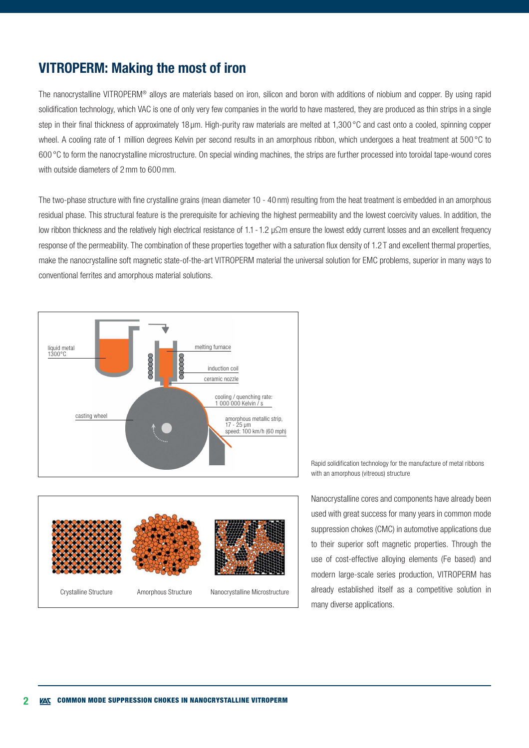#### VITROPERM: Making the most of iron

The nanocrystalline VITROPERM® alloys are materials based on iron, silicon and boron with additions of niobium and copper. By using rapid solidification technology, which VAC is one of only very few companies in the world to have mastered, they are produced as thin strips in a single step in their final thickness of approximately 18 μm. High-purity raw materials are melted at 1,300 °C and cast onto a cooled, spinning copper wheel. A cooling rate of 1 million degrees Kelvin per second results in an amorphous ribbon, which undergoes a heat treatment at 500 °C to 600 °C to form the nanocrystalline microstructure. On special winding machines, the strips are further processed into toroidal tape-wound cores with outside diameters of 2 mm to 600 mm.

The two-phase structure with fine crystalline grains (mean diameter 10 - 40 nm) resulting from the heat treatment is embedded in an amorphous residual phase. This structural feature is the prerequisite for achieving the highest permeability and the lowest coercivity values. In addition, the low ribbon thickness and the relatively high electrical resistance of 1.1 - 1.2 μΩm ensure the lowest eddy current losses and an excellent frequency response of the permeability. The combination of these properties together with a saturation flux density of 1.2 T and excellent thermal properties, make the nanocrystalline soft magnetic state-of-the-art VITROPERM material the universal solution for EMC problems, superior in many ways to conventional ferrites and amorphous material solutions.





Crystalline Structure Amorphous Structure Nanocrystalline Microstructure

Rapid solidification technology for the manufacture of metal ribbons with an amorphous (vitreous) structure

Nanocrystalline cores and components have already been used with great success for many years in common mode suppression chokes (CMC) in automotive applications due to their superior soft magnetic properties. Through the use of cost-effective alloying elements (Fe based) and modern large-scale series production, VITROPERM has already established itself as a competitive solution in many diverse applications.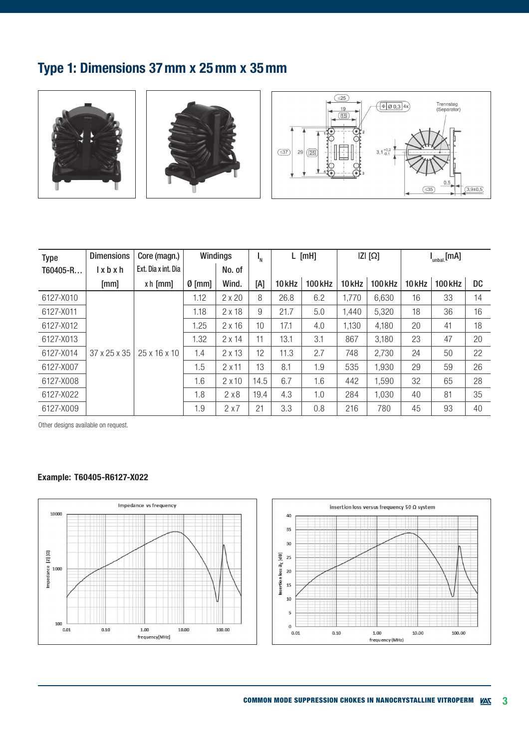# Type 1: Dimensions 37 mm x 25 mm x 35 mm







| <b>Type</b> | <b>Dimensions</b>     | Windings<br>Core (magn.) |                  |               | $I_N$ | $L$ [mH]          |                | IZI [Ω]  |           | $I_{\text{unbal.}}$ [MA] |                |    |
|-------------|-----------------------|--------------------------|------------------|---------------|-------|-------------------|----------------|----------|-----------|--------------------------|----------------|----|
| T60405-R    | $l \times b \times h$ | Ext. Dia x int. Dia      |                  | No. of        |       |                   |                |          |           |                          |                |    |
|             | [mm]                  | $x h$ [mm]               | $\emptyset$ [mm] | Wind.         | [A]   | 10 <sub>kHz</sub> | <b>100 kHz</b> | $10$ kHz | $100$ kHz | 10 kHz                   | <b>100 kHz</b> | DC |
| 6127-X010   |                       |                          | 1.12             | $2 \times 20$ | 8     | 26.8              | 6.2            | 1,770    | 6,630     | 16                       | 33             | 14 |
| 6127-X011   |                       |                          | 1.18             | $2 \times 18$ | 9     | 21.7              | 5.0            | 1,440    | 5,320     | 18                       | 36             | 16 |
| 6127-X012   |                       |                          | 1.25             | $2 \times 16$ | 10    | 17.1              | 4.0            | 1,130    | 4,180     | 20                       | 41             | 18 |
| 6127-X013   |                       |                          | 1.32             | $2 \times 14$ | 11    | 13.1              | 3.1            | 867      | 3,180     | 23                       | 47             | 20 |
| 6127-X014   | 37 x 25 x 35          | $25 \times 16 \times 10$ | 1.4              | $2 \times 13$ | 12    | 11.3              | 2.7            | 748      | 2,730     | 24                       | 50             | 22 |
| 6127-X007   |                       |                          | 1.5              | 2x11          | 13    | 8.1               | 1.9            | 535      | 1,930     | 29                       | 59             | 26 |
| 6127-X008   |                       |                          | 1.6              | 2x10          | 14.5  | 6.7               | 1.6            | 442      | 1,590     | 32                       | 65             | 28 |
| 6127-X022   |                       |                          | 1.8              | 2x8           | 19.4  | 4.3               | 1.0            | 284      | 1,030     | 40                       | 81             | 35 |
| 6127-X009   |                       |                          | 1.9              | 2x7           | 21    | 3.3               | 0.8            | 216      | 780       | 45                       | 93             | 40 |

Other designs available on request.

#### Example: T60405-R6127-X022